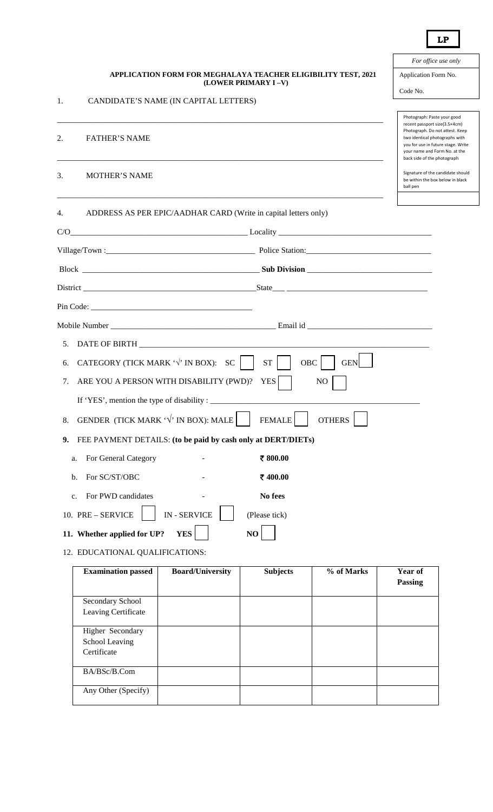|                                                                                       | For office use only                                                                                                                                                                                                                     |
|---------------------------------------------------------------------------------------|-----------------------------------------------------------------------------------------------------------------------------------------------------------------------------------------------------------------------------------------|
| APPLICATION FORM FOR MEGHALAYA TEACHER ELIGIBILITY TEST, 2021<br>(LOWER PRIMARY I-V)  | Application Form No.                                                                                                                                                                                                                    |
|                                                                                       | Code No.                                                                                                                                                                                                                                |
| 1.<br>CANDIDATE'S NAME (IN CAPITAL LETTERS)                                           |                                                                                                                                                                                                                                         |
| <b>FATHER'S NAME</b><br>2.                                                            | Photograph: Paste your good<br>recent passport size(3.5×4cm)<br>Photograph. Do not attest. Keep<br>two identical photographs with<br>you for use in future stage. Write<br>your name and Form No. at the<br>back side of the photograph |
| 3.<br><b>MOTHER'S NAME</b>                                                            | Signature of the candidate should<br>be within the box below in black<br>ball pen                                                                                                                                                       |
| ADDRESS AS PER EPIC/AADHAR CARD (Write in capital letters only)<br>4.                 |                                                                                                                                                                                                                                         |
| C/O                                                                                   |                                                                                                                                                                                                                                         |
|                                                                                       |                                                                                                                                                                                                                                         |
|                                                                                       |                                                                                                                                                                                                                                         |
|                                                                                       |                                                                                                                                                                                                                                         |
|                                                                                       |                                                                                                                                                                                                                                         |
|                                                                                       |                                                                                                                                                                                                                                         |
| 5.                                                                                    |                                                                                                                                                                                                                                         |
| CATEGORY (TICK MARK $\forall$ IN BOX): SC<br>OBC<br><b>ST</b><br><b>GEN</b><br>6.     |                                                                                                                                                                                                                                         |
| ARE YOU A PERSON WITH DISABILITY (PWD)?<br>YES<br>N <sub>O</sub><br>7.                |                                                                                                                                                                                                                                         |
|                                                                                       |                                                                                                                                                                                                                                         |
| GENDER (TICK MARK $\sqrt{'}$ IN BOX): MALE<br><b>OTHERS</b><br><b>FEMALE</b><br>8.    |                                                                                                                                                                                                                                         |
| FEE PAYMENT DETAILS: (to be paid by cash only at DERT/DIETs)<br>9.                    |                                                                                                                                                                                                                                         |
| ₹800.00<br>For General Category<br>a.                                                 |                                                                                                                                                                                                                                         |
| For SC/ST/OBC<br>₹400.00<br>$\mathbf b$ .                                             |                                                                                                                                                                                                                                         |
| For PWD candidates<br>No fees<br>c.                                                   |                                                                                                                                                                                                                                         |
| <b>IN-SERVICE</b><br>10. PRE - SERVICE<br>(Please tick)                               |                                                                                                                                                                                                                                         |
| 11. Whether applied for UP?<br><b>YES</b><br>NO                                       |                                                                                                                                                                                                                                         |
| 12. EDUCATIONAL QUALIFICATIONS:                                                       |                                                                                                                                                                                                                                         |
| <b>Examination passed</b><br><b>Board/University</b><br><b>Subjects</b><br>% of Marks | Year of                                                                                                                                                                                                                                 |

| <b>Examination</b> passed | <b>Board/University</b> | Subjects | % of Marks | <b>rear</b> of<br><b>Passing</b> |
|---------------------------|-------------------------|----------|------------|----------------------------------|
| Secondary School          |                         |          |            |                                  |
| Leaving Certificate       |                         |          |            |                                  |
| Higher Secondary          |                         |          |            |                                  |
| School Leaving            |                         |          |            |                                  |
| Certificate               |                         |          |            |                                  |
| BA/BSc/B.Com              |                         |          |            |                                  |
| Any Other (Specify)       |                         |          |            |                                  |

**LP**